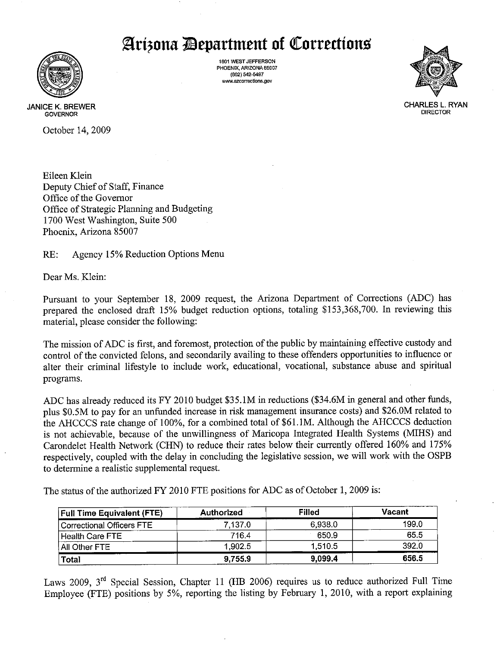# Arizona Department of Corrections



1601 WEST JEFFERSON PHOENIX, ARIZONA 85007 (602) 542-5497 www.azcorrections.gov



**JANICE K. BREWER GOVERNOR** 

October 14, 2009

Eileen Klein Deputy Chief of Staff, Finance Office of the Governor Office of Strategic Planning and Budgeting 1700 West Washington, Suite 500 Phoenix, Arizona 85007

 $RE:$ Agency 15% Reduction Options Menu

Dear Ms. Klein:

Pursuant to your September 18, 2009 request, the Arizona Department of Corrections (ADC) has prepared the enclosed draft 15% budget reduction options, totaling \$153,368,700. In reviewing this material, please consider the following:

The mission of ADC is first, and foremost, protection of the public by maintaining effective custody and control of the convicted felons, and secondarily availing to these offenders opportunities to influence or alter their criminal lifestyle to include work, educational, vocational, substance abuse and spiritual programs.

ADC has already reduced its FY 2010 budget \$35.1M in reductions (\$34.6M in general and other funds, plus \$0.5M to pay for an unfunded increase in risk management insurance costs) and \$26.0M related to the AHCCCS rate change of 100%, for a combined total of \$61.1M. Although the AHCCCS deduction is not achievable, because of the unwillingness of Maricopa Integrated Health Systems (MIHS) and Carondelet Health Network (CHN) to reduce their rates below their currently offered 160% and 175% respectively, coupled with the delay in concluding the legislative session, we will work with the OSPB to determine a realistic supplemental request.

The status of the authorized FY 2010 FTE positions for ADC as of October 1, 2009 is:

| <b>Full Time Equivalent (FTE)</b> | Authorized | <b>Filled</b> | Vacant |
|-----------------------------------|------------|---------------|--------|
| Correctional Officers FTE         | 7.137.0    | 6,938.0       | 199.0  |
| Health Care FTE                   | 716.4      | 650.9         | 65.5   |
| All Other FTE                     | 1.902.5    | 1,510.5       | 392.0  |
| Total                             | 9,755.9    | 9,099.4       | 656.5  |

Laws 2009,  $3<sup>rd</sup>$  Special Session, Chapter 11 (HB 2006) requires us to reduce authorized Full Time Employee (FTE) positions by 5%, reporting the listing by February 1, 2010, with a report explaining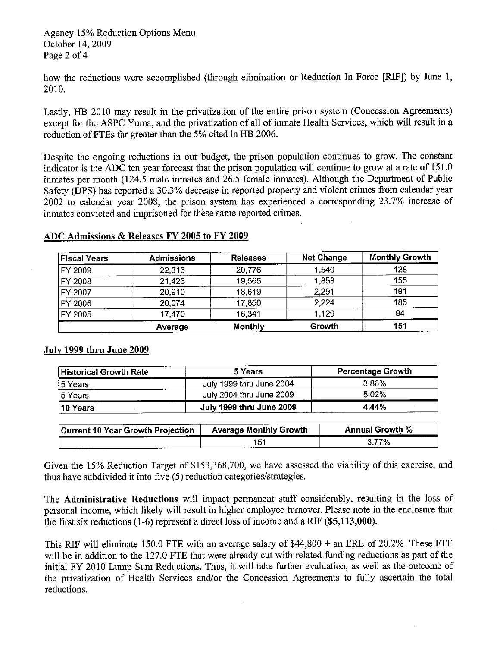how the reductions were accomplished (through elimination or Reduction In Force [RIF]) by June 1, 2010.

Lastly, HB 2010 may result in the privatization of the entire prison system (Concession Agreements) except for the ASPC Yuma, and the privatization of all of inmate Health Services, which will result in a reduction of FTEs far greater than the 5% cited in HB 2006.

Despite the ongoing reductions in our budget, the prison population continues to grow. The constant indicator is the ADC ten year forecast that the prison population will continue to grow at a rate of 151.0 inmates per month (124.5 male inmates and 26.5 female inmates). Although the Department of Public Safety (DPS) has reported a 30.3% decrease in reported property and violent crimes from calendar year 2002 to calendar year 2008, the prison system has experienced a corresponding 23.7% increase of inmates convicted and imprisoned for these same reported crimes.

### ADC Admissions & Releases FY 2005 to FY 2009

| <b>Fiscal Years</b> | <b>Admissions</b> | <b>Releases</b> | <b>Net Change</b> | <b>Monthly Growth</b> |
|---------------------|-------------------|-----------------|-------------------|-----------------------|
| FY 2009             | 22,316            | 20,776          | 1,540             | 128                   |
| FY 2008             | 21.423            | 19,565          | 1,858             | 155                   |
| FY 2007             | 20,910            | 18,619          | 2,291             | 191                   |
| FY 2006             | 20,074            | 17,850          | 2,224             | 185                   |
| FY 2005             | 17,470            | 16,341          | 1,129             | 94                    |
|                     | Average           | <b>Monthly</b>  | Growth            | 151                   |

### July 1999 thru June 2009

| <b>Historical Growth Rate</b> | 5 Years                  | <b>Percentage Growth</b> |  |  |
|-------------------------------|--------------------------|--------------------------|--|--|
| 5 Years                       | July 1999 thru June 2004 | 3.86%                    |  |  |
| 5 Years                       | July 2004 thru June 2009 | 5.02%                    |  |  |
| 10 Years                      | July 1999 thru June 2009 | 4.44%                    |  |  |

| <b>Current 10 Year Growth Projection</b> | <b>Average Monthly Growth</b> | <b>Annual Growth %</b> |
|------------------------------------------|-------------------------------|------------------------|
|                                          | 151                           | $3.77\%$               |

Given the 15% Reduction Target of \$153,368,700, we have assessed the viability of this exercise, and thus have subdivided it into five (5) reduction categories/strategies.

The Administrative Reductions will impact permanent staff considerably, resulting in the loss of personal income, which likely will result in higher employee turnover. Please note in the enclosure that the first six reductions  $(1-6)$  represent a direct loss of income and a RIF  $(\$5,113,000)$ .

This RIF will eliminate 150.0 FTE with an average salary of  $$44,800 +$  an ERE of 20.2%. These FTE will be in addition to the 127.0 FTE that were already cut with related funding reductions as part of the initial FY 2010 Lump Sum Reductions. Thus, it will take further evaluation, as well as the outcome of the privatization of Health Services and/or the Concession Agreements to fully ascertain the total reductions.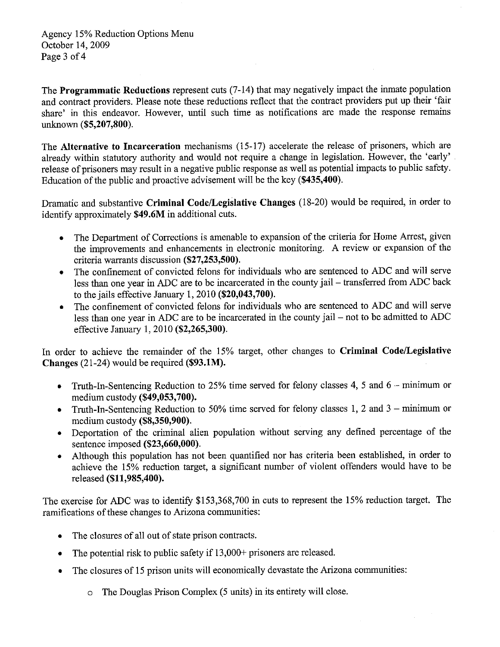Agency 15% Reduction Options Menu October 14, 2009 Page 3 of 4

The **Programmatic Reductions** represent cuts (7-14) that may negatively impact the inmate population and contract providers. Please note these reductions reflect that the contract providers put up their 'fair share' in this endeavor. However, until such time as notifications are made the response remains unknown (\$5,207,800).

The Alternative to Incarceration mechanisms (15-17) accelerate the release of prisoners, which are already within statutory authority and would not require a change in legislation. However, the 'early' release of prisoners may result in a negative public response as well as potential impacts to public safety. Education of the public and proactive advisement will be the key (\$435,400).

Dramatic and substantive Criminal Code/Legislative Changes (18-20) would be required, in order to identify approximately \$49.6M in additional cuts.

- The Department of Corrections is amenable to expansion of the criteria for Home Arrest, given the improvements and enhancements in electronic monitoring. A review or expansion of the criteria warrants discussion (\$27,253,500).
- The confinement of convicted felons for individuals who are sentenced to ADC and will serve less than one year in ADC are to be incarcerated in the county jail - transferred from ADC back to the jails effective January 1,  $2010$  (\$20,043,700).
- The confinement of convicted felons for individuals who are sentenced to ADC and will serve  $\bullet$  . less than one year in ADC are to be incarcerated in the county jail – not to be admitted to ADC effective January 1, 2010 (\$2,265,300).

In order to achieve the remainder of the 15% target, other changes to Criminal Code/Legislative Changes (21-24) would be required (\$93.1M).

- Truth-In-Sentencing Reduction to 25% time served for felony classes 4, 5 and 6 minimum or  $\bullet$ medium custody (\$49,053,700).
- Truth-In-Sentencing Reduction to 50% time served for felony classes 1, 2 and  $3 \text{minimum}$  or  $\bullet$ medium custody (\$8,350,900).
- Deportation of the criminal alien population without serving any defined percentage of the  $\bullet$ sentence imposed (\$23,660,000).
- Although this population has not been quantified nor has criteria been established, in order to  $\bullet$ achieve the 15% reduction target, a significant number of violent offenders would have to be released (\$11,985,400).

The exercise for ADC was to identify \$153,368,700 in cuts to represent the 15% reduction target. The ramifications of these changes to Arizona communities:

- The closures of all out of state prison contracts.  $\bullet$
- The potential risk to public safety if 13,000+ prisoners are released.  $\bullet$
- The closures of 15 prison units will economically devastate the Arizona communities:  $\bullet$ 
	- o The Douglas Prison Complex (5 units) in its entirety will close.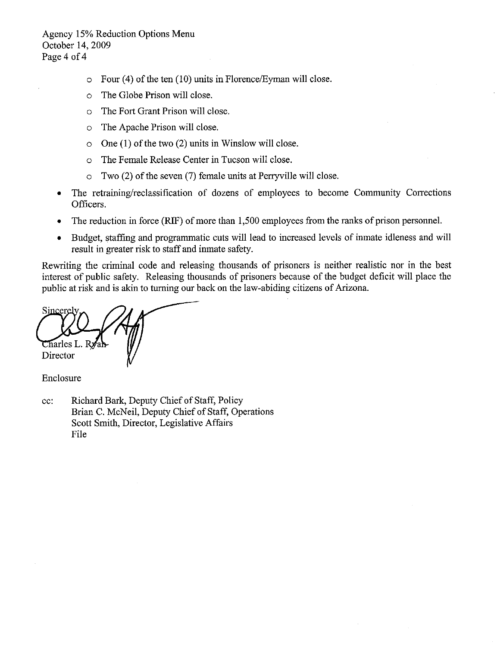Agency 15% Reduction Options Menu October 14, 2009 Page 4 of 4

- Four (4) of the ten (10) units in Florence/Eyman will close.  $\circ$
- The Globe Prison will close.  $\circ$
- The Fort Grant Prison will close.  $\Omega$
- The Apache Prison will close.  $\circ$
- One  $(1)$  of the two  $(2)$  units in Winslow will close.  $\circ$
- The Female Release Center in Tucson will close.  $\circ$
- Two (2) of the seven (7) female units at Perryville will close.  $\circ$
- The retraining/reclassification of dozens of employees to become Community Corrections Officers.
- The reduction in force (RIF) of more than 1,500 employees from the ranks of prison personnel.  $\bullet$
- Budget, staffing and programmatic cuts will lead to increased levels of inmate idleness and will  $\bullet$ result in greater risk to staff and inmate safety.

Rewriting the criminal code and releasing thousands of prisoners is neither realistic nor in the best interest of public safety. Releasing thousands of prisoners because of the budget deficit will place the public at risk and is akin to turning our back on the law-abiding citizens of Arizona.

Tharles L. Ry Director

Enclosure

Richard Bark, Deputy Chief of Staff, Policy cc: Brian C. McNeil, Deputy Chief of Staff, Operations Scott Smith, Director, Legislative Affairs File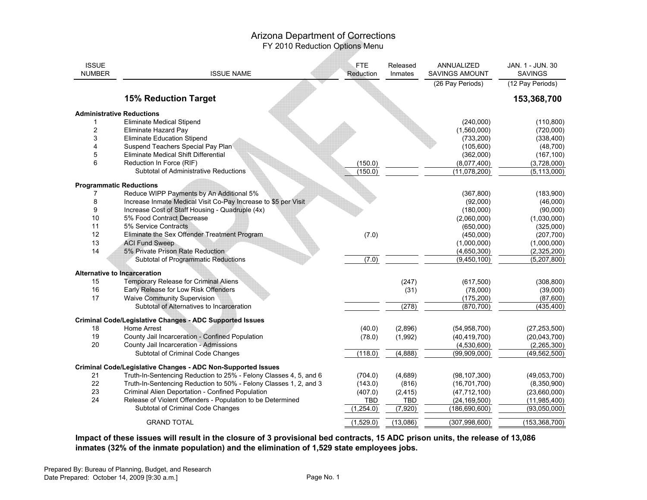| <b>ISSUE</b><br><b>NUMBER</b> | <b>ISSUE NAME</b>                                                 | FTE.<br>Reduction | Released<br>Inmates | ANNUALIZED<br><b>SAVINGS AMOUNT</b> | JAN. 1 - JUN. 30<br><b>SAVINGS</b> |
|-------------------------------|-------------------------------------------------------------------|-------------------|---------------------|-------------------------------------|------------------------------------|
|                               |                                                                   |                   |                     | (26 Pay Periods)                    | (12 Pay Periods)                   |
|                               | <b>15% Reduction Target</b>                                       |                   |                     |                                     | 153,368,700                        |
|                               | <b>Administrative Reductions</b>                                  |                   |                     |                                     |                                    |
| 1                             | Eliminate Medical Stipend                                         |                   |                     | (240,000)                           | (110, 800)                         |
| $\overline{c}$                | Eliminate Hazard Pay                                              |                   |                     | (1,560,000)                         | (720,000)                          |
| 3                             | Eliminate Education Stipend                                       |                   |                     | (733, 200)                          | (338, 400)                         |
| 4                             | Suspend Teachers Special Pay Plan                                 |                   |                     | (105,600)                           | (48, 700)                          |
| 5                             | Eliminate Medical Shift Differential                              |                   |                     | (362,000)                           | (167, 100)                         |
| 6                             | Reduction In Force (RIF)                                          | (150.0)           |                     | (8,077,400)                         | (3,728,000)                        |
|                               | Subtotal of Administrative Reductions                             | (150.0)           |                     | (11,078,200)                        | (5, 113, 000)                      |
|                               | <b>Programmatic Reductions</b>                                    |                   |                     |                                     |                                    |
| 7                             | Reduce WIPP Payments by An Additional 5%                          |                   |                     | (367, 800)                          | (183,900)                          |
| 8                             | Increase Inmate Medical Visit Co-Pay Increase to \$5 per Visit    |                   |                     | (92,000)                            | (46,000)                           |
| 9                             | Increase Cost of Staff Housing - Quadruple (4x)                   |                   |                     | (180,000)                           | (90,000)                           |
| 10                            | 5% Food Contract Decrease                                         |                   |                     | (2,060,000)                         | (1,030,000)                        |
| 11                            | 5% Service Contracts                                              |                   |                     | (650,000)                           | (325,000)                          |
| 12                            | Eliminate the Sex Offender Treatment Program                      | (7.0)             |                     | (450,000)                           | (207, 700)                         |
| 13                            | <b>ACI Fund Sweep</b>                                             |                   |                     | (1,000,000)                         | (1,000,000)                        |
| 14                            | 5% Private Prison Rate Reduction                                  |                   |                     | (4,650,300)                         | (2,325,200)                        |
|                               | Subtotal of Programmatic Reductions                               | (7.0)             |                     | (9,450,100)                         | (5,207,800)                        |
|                               | <b>Alternative to Incarceration</b>                               |                   |                     |                                     |                                    |
| 15                            | Temporary Release for Criminal Aliens                             |                   | (247)               | (617, 500)                          | (308, 800)                         |
| 16                            | Early Release for Low Risk Offenders                              |                   | (31)                | (78,000)                            | (39,000)                           |
| 17                            | <b>Waive Community Supervision</b>                                |                   |                     | (175, 200)                          | (87,600)                           |
|                               | Subtotal of Alternatives to Incarceration                         |                   | (278)               | (870, 700)                          | $\overline{(435,400)}$             |
|                               |                                                                   |                   |                     |                                     |                                    |
|                               | <b>Criminal Code/Legislative Changes - ADC Supported Issues</b>   |                   |                     |                                     |                                    |
| 18                            | Home Arrest                                                       | (40.0)            | (2,896)             | (54, 958, 700)                      | (27, 253, 500)                     |
| 19                            | County Jail Incarceration - Confined Population                   | (78.0)            | (1,992)             | (40, 419, 700)                      | (20,043,700)                       |
| 20                            | County Jail Incarceration - Admissions                            |                   |                     | (4,530,600)                         | (2,265,300)                        |
|                               | Subtotal of Criminal Code Changes                                 | (118.0)           | (4,888)             | (99,909,000)                        | (49, 562, 500)                     |
|                               | Criminal Code/Legislative Changes - ADC Non-Supported Issues      |                   |                     |                                     |                                    |
| 21                            | Truth-In-Sentencing Reduction to 25% - Felony Classes 4, 5, and 6 | (704.0)           | (4,689)             | (98, 107, 300)                      | (49.053,700)                       |
| 22                            | Truth-In-Sentencing Reduction to 50% - Felony Classes 1, 2, and 3 | (143.0)           | (816)               | (16, 701, 700)                      | (8,350,900)                        |
| 23                            | Criminal Alien Deportation - Confined Population                  | (407.0)           | (2, 415)            | (47, 712, 100)                      | (23,660,000)                       |
| 24                            | Release of Violent Offenders - Population to be Determined        | <b>TBD</b>        | <b>TBD</b>          | (24, 169, 500)                      | (11,985,400)                       |
|                               | Subtotal of Criminal Code Changes                                 | (1, 254.0)        | (7, 920)            | (186, 690, 600)                     | (93,050,000)                       |
|                               | <b>GRAND TOTAL</b>                                                | (1,529.0)         | (13,086)            | (307, 998, 600)                     | (153, 368, 700)                    |

**Impact of these issues will result in the closure of 3 provisional bed contracts, 15 ADC prison units, the release of 13,086inmates (32% of the inmate population) and the elimination of 1,529 state employees jobs.**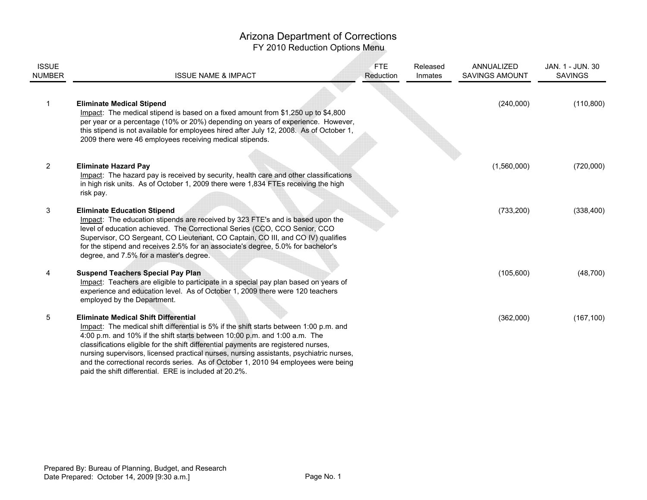# Arizona Department of Corrections

FY 2010 Reduction Options Menu

| <b>ISSUE</b><br>NUMBER | <b>ISSUE NAME &amp; IMPACT</b>                                                                                                                                                                                                                                                                                                                                                                                                                                                                                                                        | <b>FTE</b><br>Reduction | Released<br>Inmates | ANNUALIZED<br><b>SAVINGS AMOUNT</b> | JAN. 1 - JUN. 30<br><b>SAVINGS</b> |
|------------------------|-------------------------------------------------------------------------------------------------------------------------------------------------------------------------------------------------------------------------------------------------------------------------------------------------------------------------------------------------------------------------------------------------------------------------------------------------------------------------------------------------------------------------------------------------------|-------------------------|---------------------|-------------------------------------|------------------------------------|
|                        | <b>Eliminate Medical Stipend</b><br>Impact: The medical stipend is based on a fixed amount from \$1,250 up to \$4,800<br>per year or a percentage (10% or 20%) depending on years of experience. However,<br>this stipend is not available for employees hired after July 12, 2008. As of October 1,<br>2009 there were 46 employees receiving medical stipends.                                                                                                                                                                                      |                         |                     | (240,000)                           | (110, 800)                         |
| $\overline{2}$         | <b>Eliminate Hazard Pay</b><br>Impact: The hazard pay is received by security, health care and other classifications<br>in high risk units. As of October 1, 2009 there were 1,834 FTEs receiving the high<br>risk pay.                                                                                                                                                                                                                                                                                                                               |                         |                     | (1,560,000)                         | (720,000)                          |
| 3                      | <b>Eliminate Education Stipend</b><br>Impact: The education stipends are received by 323 FTE's and is based upon the<br>level of education achieved. The Correctional Series (CCO, CCO Senior, CCO<br>Supervisor, CO Sergeant, CO Lieutenant, CO Captain, CO III, and CO IV) qualifies<br>for the stipend and receives 2.5% for an associate's degree, 5.0% for bachelor's<br>degree, and 7.5% for a master's degree.                                                                                                                                 |                         |                     | (733, 200)                          | (338, 400)                         |
| 4                      | <b>Suspend Teachers Special Pay Plan</b><br>Impact: Teachers are eligible to participate in a special pay plan based on years of<br>experience and education level. As of October 1, 2009 there were 120 teachers<br>employed by the Department.                                                                                                                                                                                                                                                                                                      |                         |                     | (105, 600)                          | (48, 700)                          |
| 5                      | <b>Eliminate Medical Shift Differential</b><br>Impact: The medical shift differential is 5% if the shift starts between 1:00 p.m. and<br>4:00 p.m. and 10% if the shift starts between 10:00 p.m. and 1:00 a.m. The<br>classifications eligible for the shift differential payments are registered nurses,<br>nursing supervisors, licensed practical nurses, nursing assistants, psychiatric nurses,<br>and the correctional records series. As of October 1, 2010 94 employees were being<br>paid the shift differential. ERE is included at 20.2%. |                         |                     | (362,000)                           | (167, 100)                         |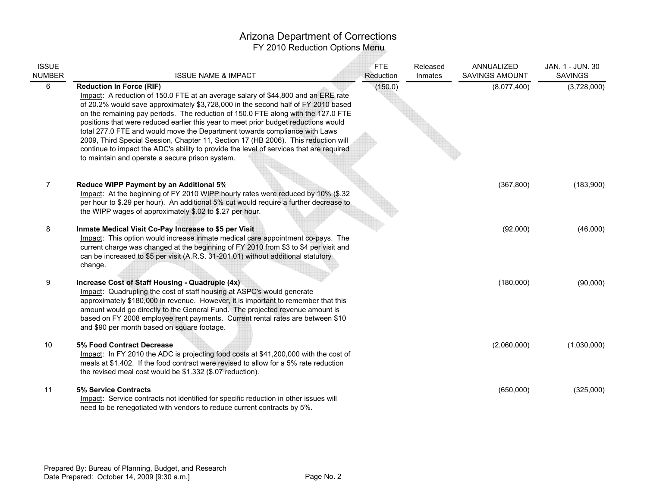| <b>ISSUE</b><br><b>NUMBER</b> | <b>ISSUE NAME &amp; IMPACT</b>                                                                                                                                                                                                                                                                                                                                                                                                                                                                                                                                                                                                                                                                          | <b>FTE</b><br>Reduction | Released<br>Inmates | ANNUALIZED<br>SAVINGS AMOUNT | JAN. 1 - JUN. 30<br><b>SAVINGS</b> |
|-------------------------------|---------------------------------------------------------------------------------------------------------------------------------------------------------------------------------------------------------------------------------------------------------------------------------------------------------------------------------------------------------------------------------------------------------------------------------------------------------------------------------------------------------------------------------------------------------------------------------------------------------------------------------------------------------------------------------------------------------|-------------------------|---------------------|------------------------------|------------------------------------|
| 6                             | <b>Reduction In Force (RIF)</b><br>Impact: A reduction of 150.0 FTE at an average salary of \$44,800 and an ERE rate<br>of 20.2% would save approximately \$3,728,000 in the second half of FY 2010 based<br>on the remaining pay periods. The reduction of 150.0 FTE along with the 127.0 FTE<br>positions that were reduced earlier this year to meet prior budget reductions would<br>total 277.0 FTE and would move the Department towards compliance with Laws<br>2009, Third Special Session, Chapter 11, Section 17 (HB 2006). This reduction will<br>continue to impact the ADC's ability to provide the level of services that are required<br>to maintain and operate a secure prison system. | (150.0)                 |                     | (8,077,400)                  | (3,728,000)                        |
| 7                             | Reduce WIPP Payment by an Additional 5%<br>Impact: At the beginning of FY 2010 WIPP hourly rates were reduced by 10% (\$.32<br>per hour to \$.29 per hour). An additional 5% cut would require a further decrease to<br>the WIPP wages of approximately \$.02 to \$.27 per hour.                                                                                                                                                                                                                                                                                                                                                                                                                        |                         |                     | (367, 800)                   | (183,900)                          |
| 8                             | Inmate Medical Visit Co-Pay Increase to \$5 per Visit<br>Impact: This option would increase inmate medical care appointment co-pays. The<br>current charge was changed at the beginning of FY 2010 from \$3 to \$4 per visit and<br>can be increased to \$5 per visit (A.R.S. 31-201.01) without additional statutory<br>change.                                                                                                                                                                                                                                                                                                                                                                        |                         |                     | (92,000)                     | (46,000)                           |
| 9                             | Increase Cost of Staff Housing - Quadruple (4x)<br>Impact: Quadrupling the cost of staff housing at ASPC's would generate<br>approximately \$180,000 in revenue. However, it is important to remember that this<br>amount would go directly to the General Fund. The projected revenue amount is<br>based on FY 2008 employee rent payments. Current rental rates are between \$10<br>and \$90 per month based on square footage.                                                                                                                                                                                                                                                                       |                         |                     | (180,000)                    | (90,000)                           |
| 10                            | 5% Food Contract Decrease<br>Impact: In FY 2010 the ADC is projecting food costs at \$41,200,000 with the cost of<br>meals at \$1.402. If the food contract were revised to allow for a 5% rate reduction<br>the revised meal cost would be \$1.332 (\$.07 reduction).                                                                                                                                                                                                                                                                                                                                                                                                                                  |                         |                     | (2,060,000)                  | (1,030,000)                        |
| 11                            | <b>5% Service Contracts</b><br>Impact: Service contracts not identified for specific reduction in other issues will<br>need to be renegotiated with vendors to reduce current contracts by 5%.                                                                                                                                                                                                                                                                                                                                                                                                                                                                                                          |                         |                     | (650,000)                    | (325,000)                          |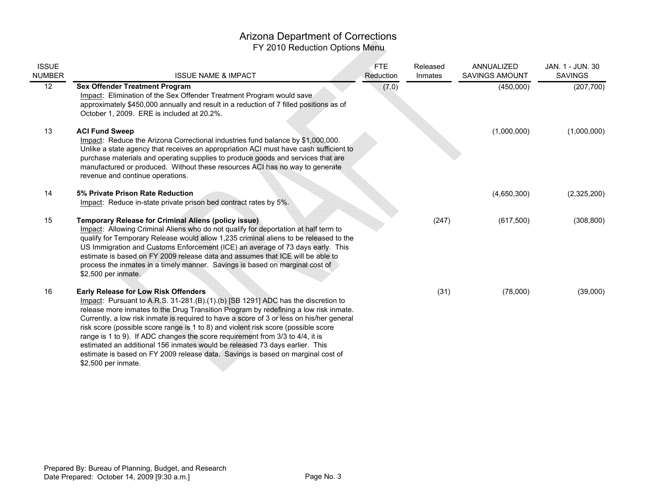# Arizona Department of Corrections

FY 2010 Reduction Options Menu

Æ

| <b>ISSUE</b><br><b>NUMBER</b> | <b>ISSUE NAME &amp; IMPACT</b>                                                                                                                                                                                                                                                                                                                                                                                                                                                                                                                                                                                                                                                       | <b>FTE</b><br>Reduction | Released<br>Inmates | ANNUALIZED<br><b>SAVINGS AMOUNT</b> | JAN. 1 - JUN. 30<br><b>SAVINGS</b> |
|-------------------------------|--------------------------------------------------------------------------------------------------------------------------------------------------------------------------------------------------------------------------------------------------------------------------------------------------------------------------------------------------------------------------------------------------------------------------------------------------------------------------------------------------------------------------------------------------------------------------------------------------------------------------------------------------------------------------------------|-------------------------|---------------------|-------------------------------------|------------------------------------|
| $\overline{12}$               | <b>Sex Offender Treatment Program</b><br>Impact: Elimination of the Sex Offender Treatment Program would save<br>approximately \$450,000 annually and result in a reduction of 7 filled positions as of<br>October 1, 2009. ERE is included at 20.2%.                                                                                                                                                                                                                                                                                                                                                                                                                                | (7.0)                   |                     | (450,000)                           | (207, 700)                         |
| 13                            | <b>ACI Fund Sweep</b><br>Impact: Reduce the Arizona Correctional industries fund balance by \$1,000,000.<br>Unlike a state agency that receives an appropriation ACI must have cash sufficient to<br>purchase materials and operating supplies to produce goods and services that are<br>manufactured or produced. Without these resources ACI has no way to generate<br>revenue and continue operations.                                                                                                                                                                                                                                                                            |                         |                     | (1,000,000)                         | (1,000,000)                        |
| 14                            | 5% Private Prison Rate Reduction<br>Impact: Reduce in-state private prison bed contract rates by 5%.                                                                                                                                                                                                                                                                                                                                                                                                                                                                                                                                                                                 |                         |                     | (4,650,300)                         | (2,325,200)                        |
| 15                            | <b>Temporary Release for Criminal Aliens (policy issue)</b><br>Impact: Allowing Criminal Aliens who do not qualify for deportation at half term to<br>qualify for Temporary Release would allow 1,235 criminal aliens to be released to the<br>US Immigration and Customs Enforcement (ICE) an average of 73 days early. This<br>estimate is based on FY 2009 release data and assumes that ICE will be able to<br>process the inmates in a timely manner. Savings is based on marginal cost of<br>\$2,500 per inmate.                                                                                                                                                               |                         | (247)               | (617, 500)                          | (308, 800)                         |
| 16                            | <b>Early Release for Low Risk Offenders</b><br>Impact: Pursuant to A.R.S. 31-281.(B).(1).(b) [SB 1291] ADC has the discretion to<br>release more inmates to the Drug Transition Program by redefining a low risk inmate.<br>Currently, a low risk inmate is required to have a score of 3 or less on his/her general<br>risk score (possible score range is 1 to 8) and violent risk score (possible score<br>range is 1 to 9). If ADC changes the score requirement from 3/3 to 4/4, it is<br>estimated an additional 156 inmates would be released 73 days earlier. This<br>estimate is based on FY 2009 release data. Savings is based on marginal cost of<br>\$2,500 per inmate. |                         | (31)                | (78,000)                            | (39,000)                           |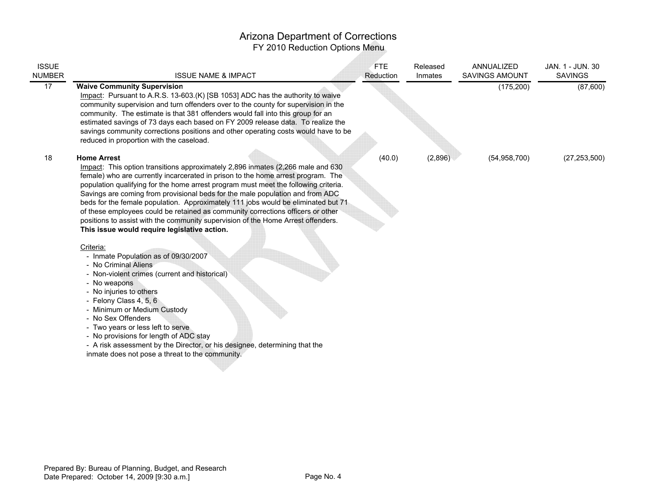| <b>ISSUE</b><br><b>NUMBER</b> | <b>ISSUE NAME &amp; IMPACT</b>                                                                                                                                                                                                                                                                                                                                                                                                                                                                                                                                                                                                                                                                                                                                                                                                                                                                                                        | <b>FTE</b><br>Reduction | Released<br>Inmates | ANNUALIZED<br>SAVINGS AMOUNT | JAN. 1 - JUN. 30<br><b>SAVINGS</b> |
|-------------------------------|---------------------------------------------------------------------------------------------------------------------------------------------------------------------------------------------------------------------------------------------------------------------------------------------------------------------------------------------------------------------------------------------------------------------------------------------------------------------------------------------------------------------------------------------------------------------------------------------------------------------------------------------------------------------------------------------------------------------------------------------------------------------------------------------------------------------------------------------------------------------------------------------------------------------------------------|-------------------------|---------------------|------------------------------|------------------------------------|
| 17                            | <b>Waive Community Supervision</b><br>Impact: Pursuant to A.R.S. 13-603.(K) [SB 1053] ADC has the authority to waive<br>community supervision and turn offenders over to the county for supervision in the<br>community. The estimate is that 381 offenders would fall into this group for an<br>estimated savings of 73 days each based on FY 2009 release data. To realize the<br>savings community corrections positions and other operating costs would have to be<br>reduced in proportion with the caseload.                                                                                                                                                                                                                                                                                                                                                                                                                    |                         |                     | (175, 200)                   | (87,600)                           |
| 18                            | <b>Home Arrest</b><br>Impact: This option transitions approximately 2,896 inmates (2,266 male and 630<br>female) who are currently incarcerated in prison to the home arrest program. The<br>population qualifying for the home arrest program must meet the following criteria.<br>Savings are coming from provisional beds for the male population and from ADC<br>beds for the female population. Approximately 111 jobs would be eliminated but 71<br>of these employees could be retained as community corrections officers or other<br>positions to assist with the community supervision of the Home Arrest offenders.<br>This issue would require legislative action.<br>Criteria:<br>- Inmate Population as of 09/30/2007<br>- No Criminal Aliens<br>- Non-violent crimes (current and historical)<br>- No weapons<br>- No injuries to others<br>- Felony Class 4, 5, 6<br>- Minimum or Medium Custody<br>- No Sex Offenders | (40.0)                  | (2,896)             | (54, 958, 700)               | (27, 253, 500)                     |
|                               | - Two years or less left to serve<br>- No provisions for length of ADC stay<br>- A risk assessment by the Director, or his designee, determining that the<br>inmate does not pose a threat to the community.                                                                                                                                                                                                                                                                                                                                                                                                                                                                                                                                                                                                                                                                                                                          |                         |                     |                              |                                    |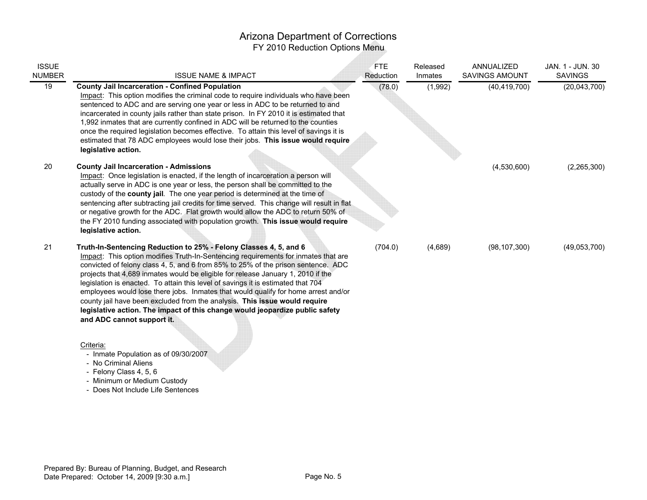| <b>ISSUE</b><br>NUMBER | <b>ISSUE NAME &amp; IMPACT</b>                                                                                                                                                                                                                                                                                                                                                                                                                                                                                                                                                                                                                                                                         | <b>FTE</b><br>Reduction | Released<br>Inmates | ANNUALIZED<br><b>SAVINGS AMOUNT</b> | JAN. 1 - JUN. 30<br><b>SAVINGS</b> |
|------------------------|--------------------------------------------------------------------------------------------------------------------------------------------------------------------------------------------------------------------------------------------------------------------------------------------------------------------------------------------------------------------------------------------------------------------------------------------------------------------------------------------------------------------------------------------------------------------------------------------------------------------------------------------------------------------------------------------------------|-------------------------|---------------------|-------------------------------------|------------------------------------|
| 19                     | <b>County Jail Incarceration - Confined Population</b><br>Impact: This option modifies the criminal code to require individuals who have been<br>sentenced to ADC and are serving one year or less in ADC to be returned to and<br>incarcerated in county jails rather than state prison. In FY 2010 it is estimated that<br>1,992 inmates that are currently confined in ADC will be returned to the counties<br>once the required legislation becomes effective. To attain this level of savings it is<br>estimated that 78 ADC employees would lose their jobs. This issue would require<br>legislative action.                                                                                     | (78.0)                  | (1,992)             | (40, 419, 700)                      | (20,043,700)                       |
| 20                     | <b>County Jail Incarceration - Admissions</b><br>Impact: Once legislation is enacted, if the length of incarceration a person will<br>actually serve in ADC is one year or less, the person shall be committed to the<br>custody of the county jail. The one year period is determined at the time of<br>sentencing after subtracting jail credits for time served. This change will result in flat<br>or negative growth for the ADC. Flat growth would allow the ADC to return 50% of<br>the FY 2010 funding associated with population growth. This issue would require<br>legislative action.                                                                                                      |                         |                     | (4,530,600)                         | (2,265,300)                        |
| 21                     | Truth-In-Sentencing Reduction to 25% - Felony Classes 4, 5, and 6<br>Impact: This option modifies Truth-In-Sentencing requirements for inmates that are<br>convicted of felony class 4, 5, and 6 from 85% to 25% of the prison sentence. ADC<br>projects that 4,689 inmates would be eligible for release January 1, 2010 if the<br>legislation is enacted. To attain this level of savings it is estimated that 704<br>employees would lose there jobs. Inmates that would qualify for home arrest and/or<br>county jail have been excluded from the analysis. This issue would require<br>legislative action. The impact of this change would jeopardize public safety<br>and ADC cannot support it. | (704.0)                 | (4,689)             | (98, 107, 300)                      | (49,053,700)                       |

#### Criteria:

- Inmate Population as of 09/30/2007
- No Criminal Aliens
- 
- Felony Class 4, 5, 6 Minimum or Medium Custody
- Does Not Include Life Sentences

Prepared By: Bureau of Planning, Budget, and ResearchDate Prepared: October 14, 2009 [9:30 a.m.]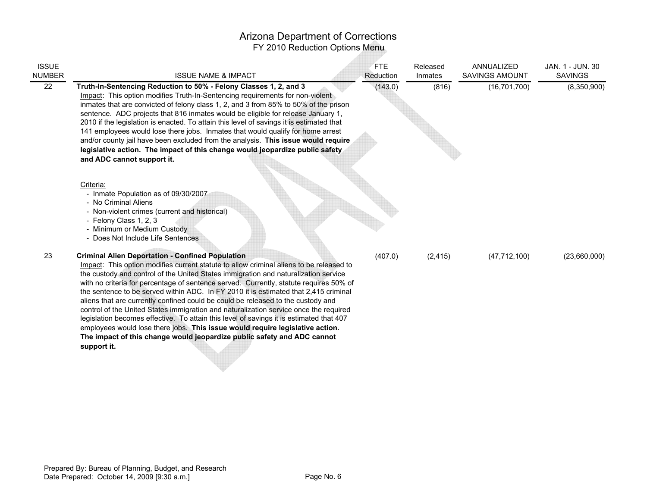| <b>ISSUE</b><br>NUMBER | <b>ISSUE NAME &amp; IMPACT</b>                                                                                                                                                                                                                                                                                                                                                                                                                                                                                                                                                                                                                                                                                                                                                                                                                                                                                                               | <b>FTE</b><br>Reduction | Released<br>Inmates | ANNUALIZED<br><b>SAVINGS AMOUNT</b> | JAN. 1 - JUN. 30<br><b>SAVINGS</b> |
|------------------------|----------------------------------------------------------------------------------------------------------------------------------------------------------------------------------------------------------------------------------------------------------------------------------------------------------------------------------------------------------------------------------------------------------------------------------------------------------------------------------------------------------------------------------------------------------------------------------------------------------------------------------------------------------------------------------------------------------------------------------------------------------------------------------------------------------------------------------------------------------------------------------------------------------------------------------------------|-------------------------|---------------------|-------------------------------------|------------------------------------|
| 22                     | Truth-In-Sentencing Reduction to 50% - Felony Classes 1, 2, and 3<br>Impact: This option modifies Truth-In-Sentencing requirements for non-violent<br>inmates that are convicted of felony class 1, 2, and 3 from 85% to 50% of the prison<br>sentence. ADC projects that 816 inmates would be eligible for release January 1,<br>2010 if the legislation is enacted. To attain this level of savings it is estimated that<br>141 employees would lose there jobs. Inmates that would qualify for home arrest<br>and/or county jail have been excluded from the analysis. This issue would require<br>legislative action. The impact of this change would jeopardize public safety<br>and ADC cannot support it.<br>Criteria:<br>- Inmate Population as of 09/30/2007<br>- No Criminal Aliens<br>- Non-violent crimes (current and historical)<br>- Felony Class 1, 2, 3<br>- Minimum or Medium Custody<br>- Does Not Include Life Sentences | (143.0)                 | (816)               | (16, 701, 700)                      | (8,350,900)                        |
| 23                     | <b>Criminal Alien Deportation - Confined Population</b><br>Impact: This option modifies current statute to allow criminal aliens to be released to<br>the custody and control of the United States immigration and naturalization service<br>with no criteria for percentage of sentence served. Currently, statute requires 50% of<br>the sentence to be served within ADC. In FY 2010 it is estimated that 2,415 criminal<br>aliens that are currently confined could be could be released to the custody and<br>control of the United States immigration and naturalization service once the required<br>legislation becomes effective. To attain this level of savings it is estimated that 407<br>employees would lose there jobs. This issue would require legislative action.<br>The impact of this change would jeopardize public safety and ADC cannot<br>support it.                                                               | (407.0)                 | (2, 415)            | (47, 712, 100)                      | (23,660,000)                       |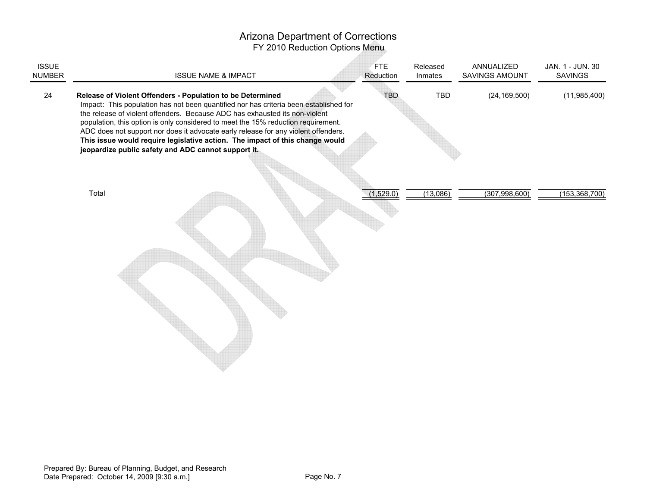| <b>ISSUE</b><br><b>NUMBER</b> | <b>ISSUE NAME &amp; IMPACT</b>                                                                                                                                                                                                                                                                                                                                                                                                                                                                                                                       | <b>FTE</b><br>Reduction | Released<br>Inmates | ANNUALIZED<br>SAVINGS AMOUNT | JAN. 1 - JUN. 30<br><b>SAVINGS</b> |
|-------------------------------|------------------------------------------------------------------------------------------------------------------------------------------------------------------------------------------------------------------------------------------------------------------------------------------------------------------------------------------------------------------------------------------------------------------------------------------------------------------------------------------------------------------------------------------------------|-------------------------|---------------------|------------------------------|------------------------------------|
| 24                            | Release of Violent Offenders - Population to be Determined<br>Impact: This population has not been quantified nor has criteria been established for<br>the release of violent offenders. Because ADC has exhausted its non-violent<br>population, this option is only considered to meet the 15% reduction requirement.<br>ADC does not support nor does it advocate early release for any violent offenders.<br>This issue would require legislative action. The impact of this change would<br>jeopardize public safety and ADC cannot support it. | <b>TBD</b>              | TBD                 | (24, 169, 500)               | (11,985,400)                       |
|                               | Total                                                                                                                                                                                                                                                                                                                                                                                                                                                                                                                                                | (1,529.0)               | (13,086)            | (307, 998, 600)              | (153, 368, 700)                    |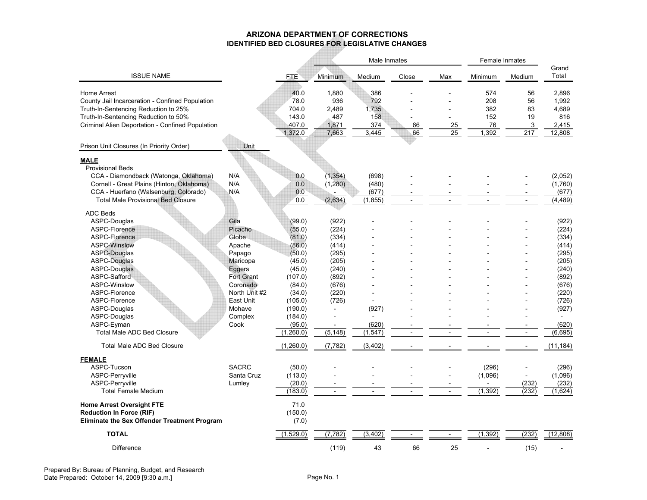#### **ARIZONA DEPARTMENT OF CORRECTIONSIDENTIFIED BED CLOSURES FOR LEGISLATIVE CHANGES**

|                                                     |                   |            |                          | Male Inmates   |                          | Female Inmates           |                |                          |                |
|-----------------------------------------------------|-------------------|------------|--------------------------|----------------|--------------------------|--------------------------|----------------|--------------------------|----------------|
| <b>ISSUE NAME</b>                                   |                   | <b>FTE</b> | Minimum                  | Medium         | Close                    | Max                      | Minimum        | Medium                   | Grand<br>Total |
| Home Arrest                                         |                   | 40.0       | 1,880                    | 386            |                          |                          | 574            | 56                       | 2,896          |
| County Jail Incarceration - Confined Population     |                   | 78.0       | 936                      | 792            |                          |                          | 208            | 56                       | 1,992          |
| Truth-In-Sentencing Reduction to 25%                |                   | 704.0      | 2,489                    | 1,735          |                          |                          | 382            | 83                       | 4,689          |
| Truth-In-Sentencing Reduction to 50%                |                   | 143.0      | 487                      | 158            |                          |                          | 152            | 19                       | 816            |
| Criminal Alien Deportation - Confined Population    |                   | 407.0      | 1,871                    | 374            | 66                       | 25                       | 76             | 3                        | 2,415          |
|                                                     |                   | 1,372.0    | 7,663                    | 3,445          | 66                       | $\overline{25}$          | 1,392          | 217                      | 12,808         |
| Prison Unit Closures (In Priority Order)            | Unit              |            |                          |                |                          |                          |                |                          |                |
|                                                     |                   |            |                          |                |                          |                          |                |                          |                |
| <b>MALE</b>                                         |                   |            |                          |                |                          |                          |                |                          |                |
| <b>Provisional Beds</b>                             |                   |            |                          |                |                          |                          |                |                          |                |
| CCA - Diamondback (Watonga, Oklahoma)               | N/A               | 0.0        | (1, 354)                 | (698)          |                          |                          |                |                          | (2,052)        |
| Cornell - Great Plains (Hinton, Oklahoma)           | N/A               | 0.0        | (1,280)                  | (480)          |                          |                          |                |                          | (1,760)        |
| CCA - Huerfano (Walsenburg, Colorado)               | N/A               | 0.0        |                          | (677)          |                          |                          |                |                          | (677)          |
| <b>Total Male Provisional Bed Closure</b>           |                   | 0.0        | (2,634)                  | (1, 855)       |                          |                          |                |                          | (4, 489)       |
| <b>ADC Beds</b>                                     |                   |            |                          |                |                          |                          |                |                          |                |
| ASPC-Douglas                                        | Gila              | (99.0)     | (922)                    |                |                          |                          |                |                          | (922)          |
| ASPC-Florence                                       | Picacho           | (55.0)     | (224)                    |                |                          |                          |                |                          | (224)          |
| ASPC-Florence                                       | Globe             | (81.0)     | (334)                    |                |                          |                          |                |                          | (334)          |
| <b>ASPC-Winslow</b>                                 | Apache            | (86.0)     | (414)                    |                |                          |                          |                |                          | (414)          |
| <b>ASPC-Douglas</b>                                 | Papago            | (50.0)     | (295)                    |                |                          |                          |                |                          | (295)          |
| <b>ASPC-Douglas</b>                                 | Maricopa          | (45.0)     | (205)                    |                |                          |                          |                |                          | (205)          |
| <b>ASPC-Douglas</b>                                 | Eggers            | (45.0)     | (240)                    |                |                          |                          |                |                          | (240)          |
| ASPC-Safford                                        | <b>Fort Grant</b> | (107.0)    | (892)                    |                |                          |                          |                |                          | (892)          |
| <b>ASPC-Winslow</b>                                 | Coronado          | (84.0)     | (676)                    |                |                          |                          |                |                          | (676)          |
| ASPC-Florence                                       | North Unit #2     | (34.0)     | (220)                    |                |                          |                          |                |                          | (220)          |
| ASPC-Florence                                       | East Unit         | (105.0)    | (726)                    |                |                          |                          |                |                          | (726)          |
| ASPC-Douglas                                        | Mohave            | (190.0)    | $\overline{\phantom{a}}$ | (927)          |                          |                          |                |                          | (927)          |
| ASPC-Douglas                                        | Complex           | (184.0)    |                          |                |                          |                          |                |                          |                |
| ASPC-Eyman                                          | Cook              | (95.0)     |                          | (620)          |                          |                          |                |                          | (620)          |
| <b>Total Male ADC Bed Closure</b>                   |                   | (1,260.0)  | (5, 148)                 | (1, 547)       | $\overline{\phantom{a}}$ | $\overline{\phantom{a}}$ | $\overline{a}$ | $\overline{\phantom{a}}$ | (6,695)        |
|                                                     |                   |            |                          |                |                          |                          |                |                          |                |
| <b>Total Male ADC Bed Closure</b>                   |                   | (1,260.0)  | (7, 782)                 | (3, 402)       | $\overline{a}$           | $\overline{a}$           |                | $\blacksquare$           | (11, 184)      |
| <b>FEMALE</b>                                       |                   |            |                          |                |                          |                          |                |                          |                |
| ASPC-Tucson                                         | <b>SACRC</b>      | (50.0)     |                          |                |                          |                          | (296)          |                          | (296)          |
| ASPC-Perryville                                     | Santa Cruz        | (113.0)    |                          |                |                          |                          | (1,096)        |                          | (1,096)        |
| ASPC-Perryville                                     | Lumley            | (20.0)     |                          |                |                          |                          |                | (232)                    | (232)          |
| <b>Total Female Medium</b>                          |                   | (183.0)    | $\sim$                   | $\overline{a}$ |                          | $\overline{a}$           | (1, 392)       | (232)                    | (1,624)        |
| <b>Home Arrest Oversight FTE</b>                    |                   | 71.0       |                          |                |                          |                          |                |                          |                |
| <b>Reduction In Force (RIF)</b>                     |                   | (150.0)    |                          |                |                          |                          |                |                          |                |
| <b>Eliminate the Sex Offender Treatment Program</b> |                   | (7.0)      |                          |                |                          |                          |                |                          |                |
| <b>TOTAL</b>                                        |                   | (1, 529.0) | (7, 782)                 | (3, 402)       |                          |                          | (1, 392)       | (232)                    | (12,808)       |
|                                                     |                   |            |                          |                |                          |                          |                |                          |                |
| Difference                                          |                   |            | (119)                    | 43             | 66                       | 25                       | $\overline{a}$ | (15)                     |                |